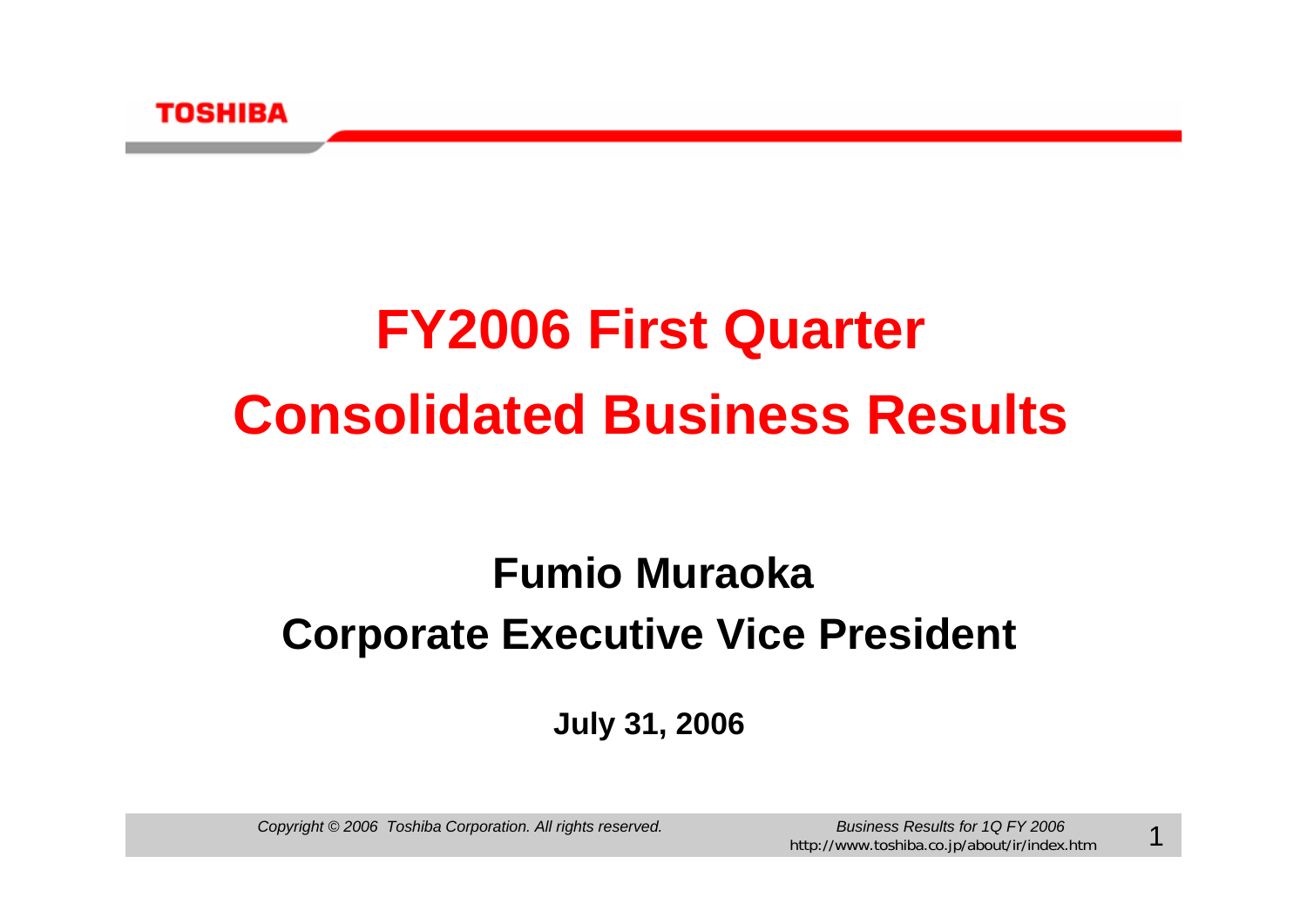

# **FY2006 First Quarter Consolidated Business Results**

# **Corporate Executive Vice President Fumio Muraoka**

**July 31, 2006**

*Copyright © 2006 Toshiba Corporation. All rights reserved. Business Results for 1Q FY 2006*

1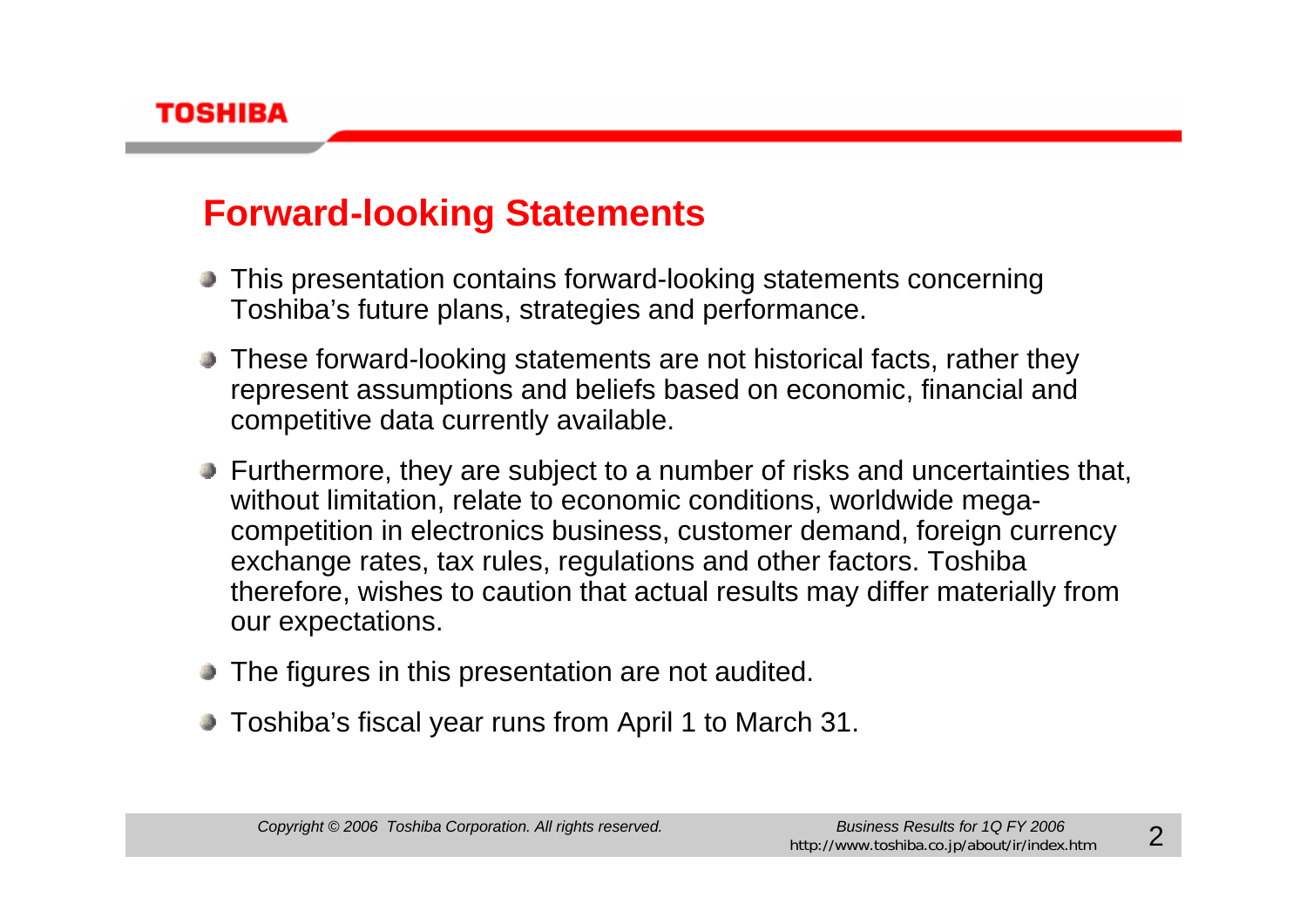

### **Forward-looking Statements**

- This presentation contains forward-looking statements concerning Toshiba's future plans, strategies and performance.
- These forward-looking statements are not historical facts, rather they represent assumptions and beliefs based on economic, financial and competitive data currently available.
- **Furthermore, they are subject to a number of risks and uncertainties that,** without limitation, relate to economic conditions, worldwide megacompetition in electronics business, customer demand, foreign currency exchange rates, tax rules, regulations and other factors. Toshiba therefore, wishes to caution that actual results may differ materially from our expectations.
- The figures in this presentation are not audited.
- Toshiba's fiscal year runs from April 1 to March 31.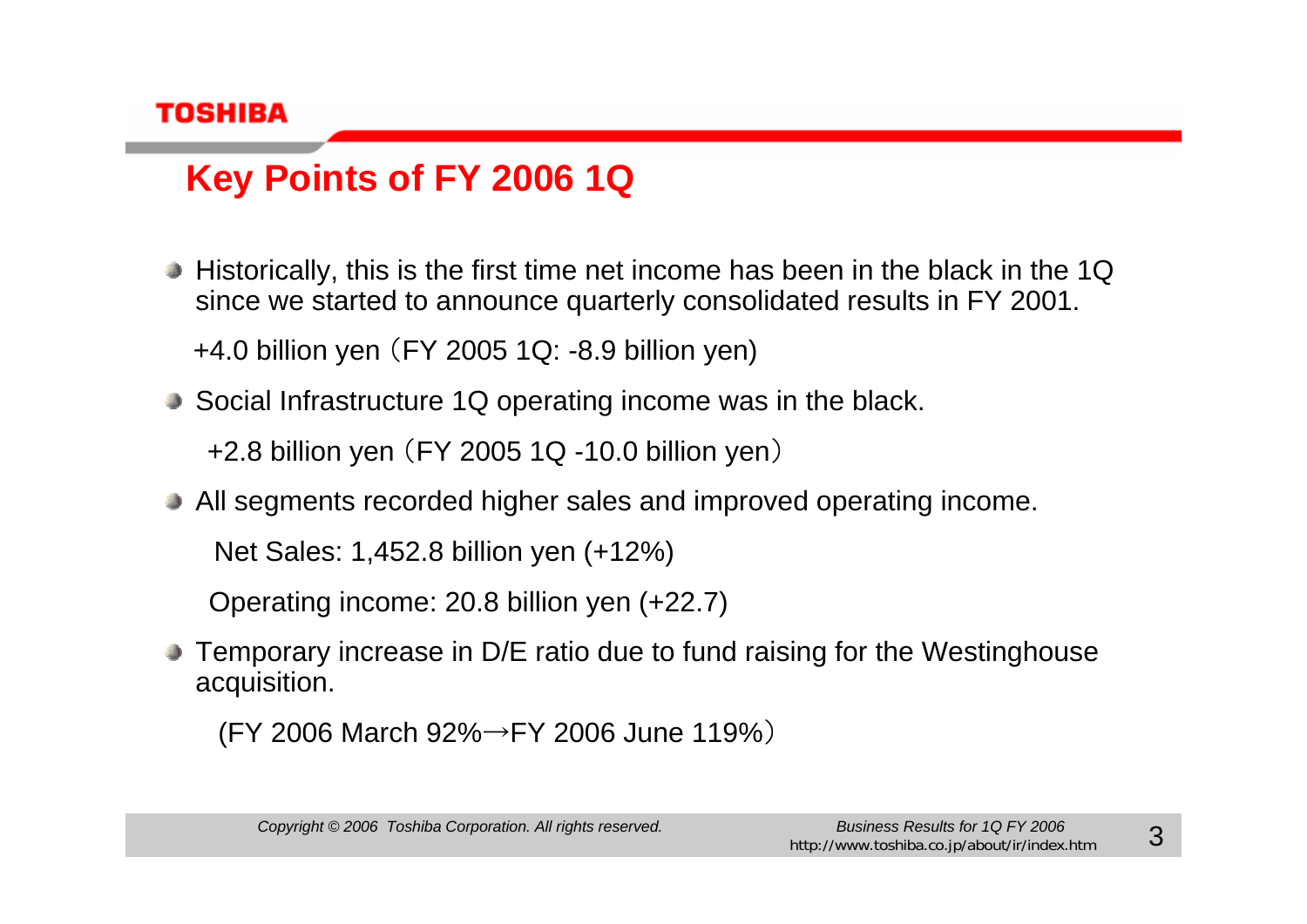

# **Key Points of FY 2006 1Q**

Historically, this is the first time net income has been in the black in the 1Q since we started to announce quarterly consolidated results in FY 2001.

+4.0 billion yen (FY 2005 1Q: -8.9 billion yen)

- Social Infrastructure 1Q operating income was in the black. +2.8 billion yen (FY 2005 1Q -10.0 billion yen )
- All segments recorded higher sales and improved operating income. Net Sales: 1,452.8 billion yen (+12%)

Operating income: 20.8 billion yen (+22.7)

Temporary increase in D/E ratio due to fund raising for the Westinghouse acquisition.

(FY 2006 March 92% →FY 2006 June 119%)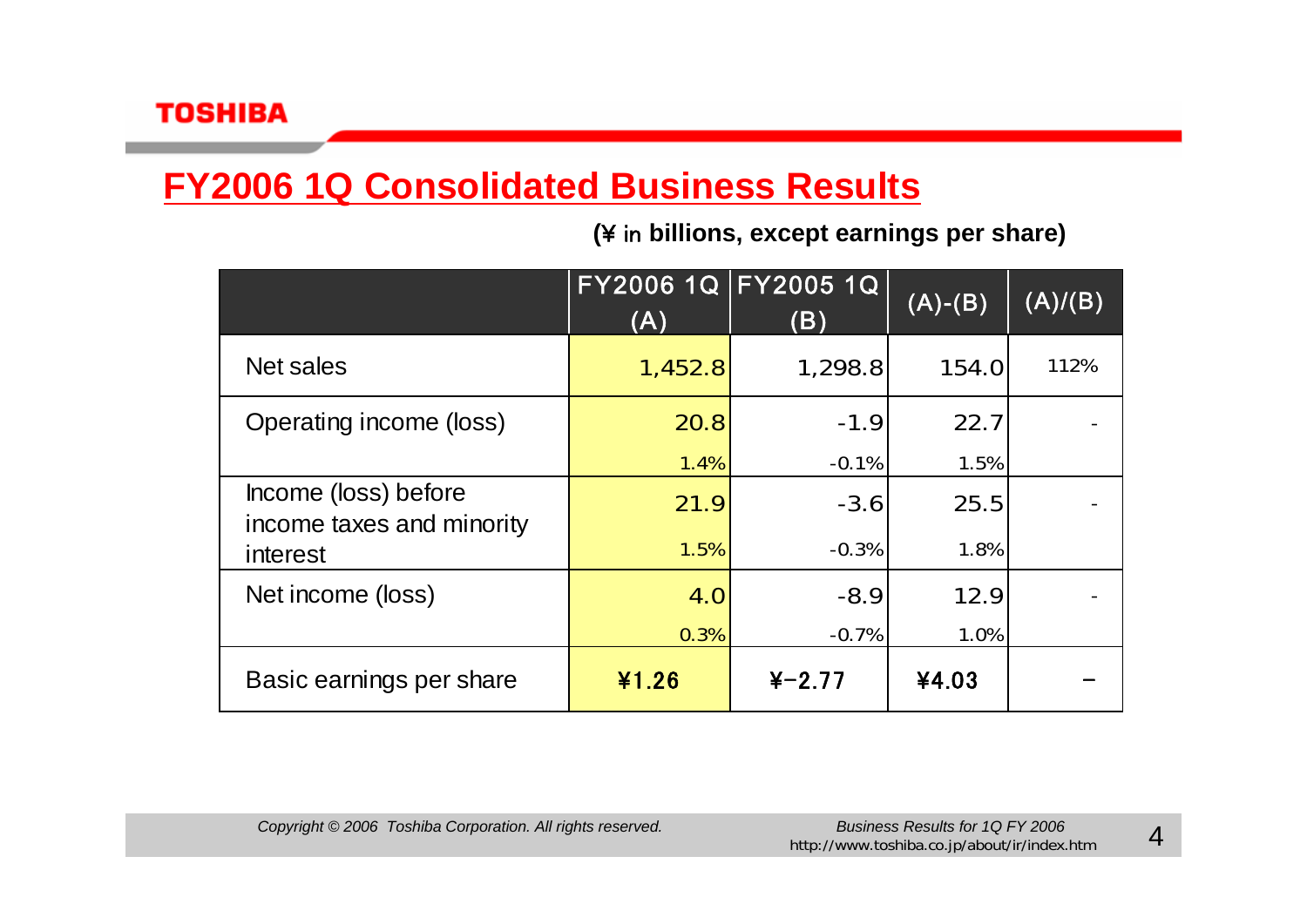## **FY2006 1Q Consolidated Business Results**

**(**¥ in **billions, except earnings per share)**

|                                                   | (A)     | FY2006 1Q FY2005 1Q<br>(B) | $(A)-(B)$ | (A)/(B) |
|---------------------------------------------------|---------|----------------------------|-----------|---------|
| Net sales                                         | 1,452.8 | 1,298.8                    | 154.0     | 112%    |
| Operating income (loss)                           | 20.8    | $-1.9$                     | 22.7      |         |
|                                                   | 1.4%    | $-0.1%$                    | 1.5%      |         |
| Income (loss) before<br>income taxes and minority | 21.9    | $-3.6$                     | 25.5      |         |
| interest                                          | 1.5%    | $-0.3%$                    | 1.8%      |         |
| Net income (loss)                                 | 4.0     | $-8.9$                     | 12.9      |         |
|                                                   | 0.3%    | $-0.7%$                    | 1.0%      |         |
| Basic earnings per share                          | ¥1.26   | $4 - 2.77$                 | ¥4.03     |         |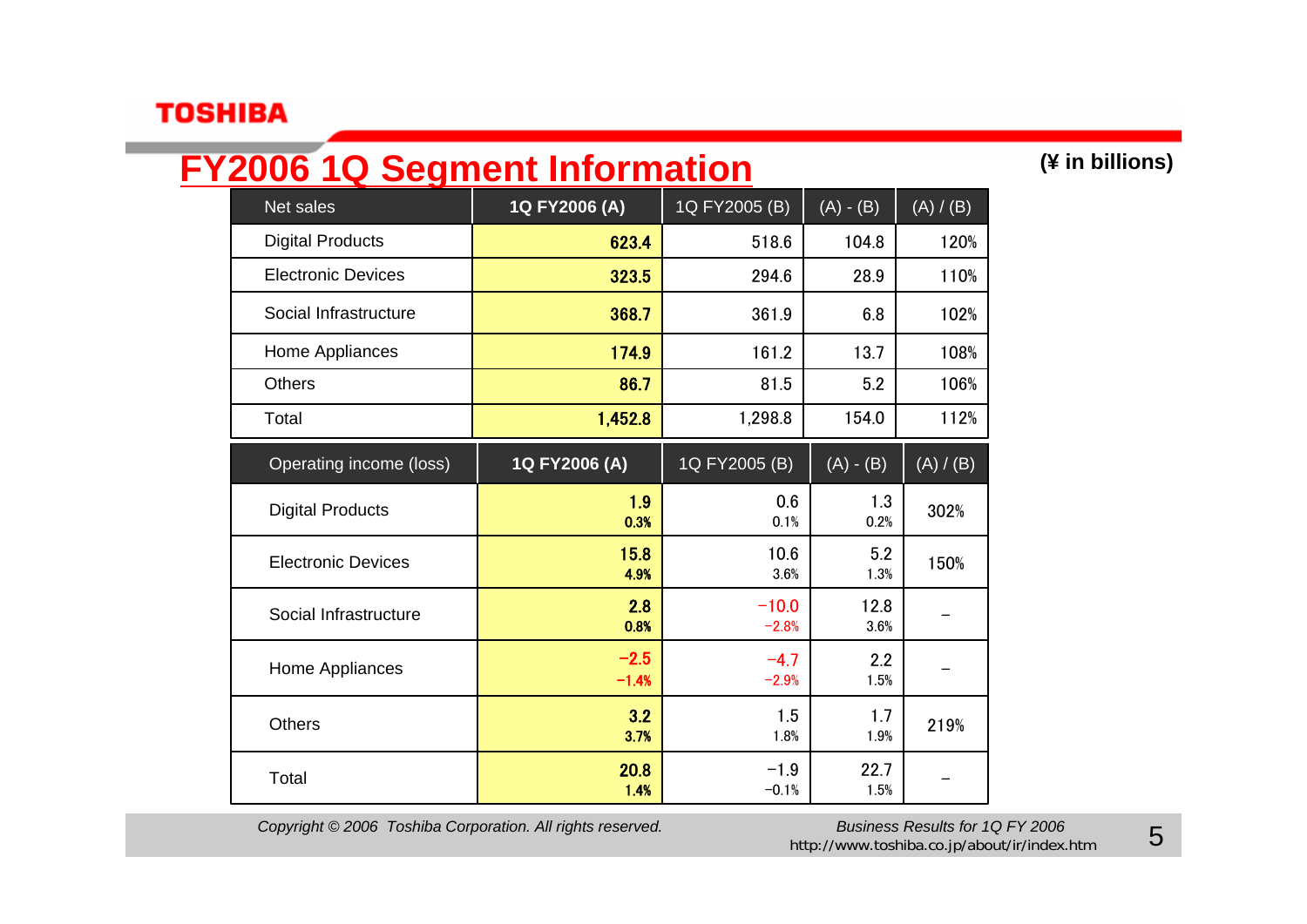## **FY2006 1Q Segment Information (¥ in billions)**

| Net sales                 | 1Q FY2006 (A)     | 1Q FY2005 (B)      | $(A) - (B)$  | (A) / (B) |
|---------------------------|-------------------|--------------------|--------------|-----------|
| <b>Digital Products</b>   | 623.4             | 518.6              | 104.8        | 120%      |
| <b>Electronic Devices</b> | 323.5             | 294.6              | 28.9         | 110%      |
| Social Infrastructure     | 368.7             | 361.9              | 6.8          | 102%      |
| Home Appliances           | 174.9             | 161.2              | 13.7         | 108%      |
| <b>Others</b>             | 86.7              | 81.5               | 5.2          | 106%      |
| Total                     | 1,452.8           | 1,298.8            | 154.0        | 112%      |
| Operating income (loss)   | 1Q FY2006 (A)     | 1Q FY2005 (B)      | $(A) - (B)$  | (A) / (B) |
| <b>Digital Products</b>   | 1.9<br>0.3%       | 0.6<br>0.1%        | 1.3<br>0.2%  | 302%      |
| <b>Electronic Devices</b> | 15.8<br>4.9%      | 10.6<br>3.6%       | 5.2<br>1.3%  | 150%      |
| Social Infrastructure     | 2.8<br>0.8%       | $-10.0$<br>$-2.8%$ | 12.8<br>3.6% |           |
| Home Appliances           | $-2.5$<br>$-1.4%$ | $-4.7$<br>$-2.9%$  | 2.2<br>1.5%  |           |
| <b>Others</b>             | 3.2<br>3.7%       | 1.5<br>1.8%        | 1.7<br>1.9%  | 219%      |
| Total                     | 20.8<br>1.4%      | $-1.9$<br>$-0.1%$  | 22.7<br>1.5% |           |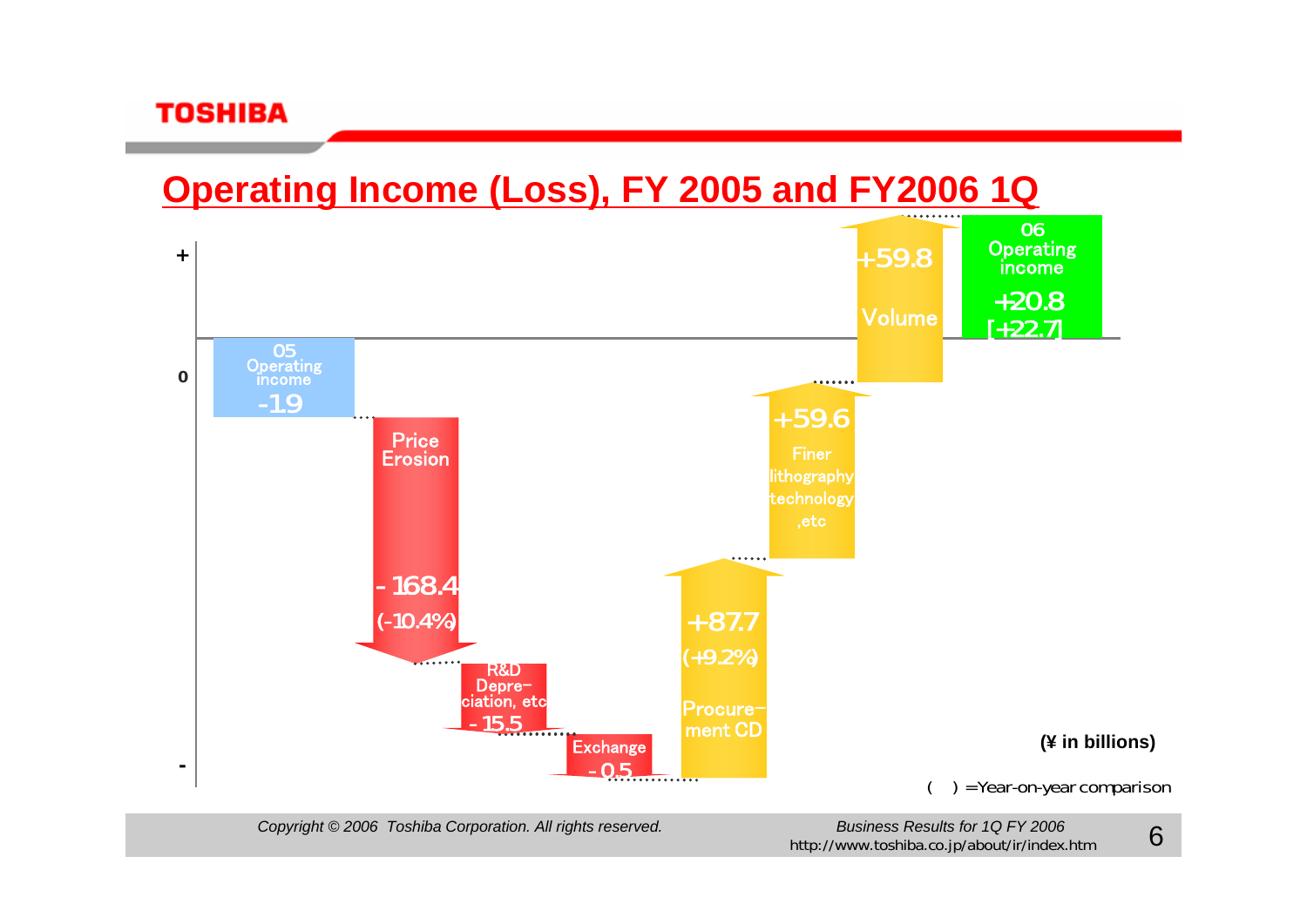### **Operating Income (Loss), FY 2005 and FY2006 1Q**



*Copyright © 2006 Toshiba Corporation. All rights reserved. Business Results for 1Q FY 2006*

http://www.toshiba.co.jp/about/ir/index.htm

6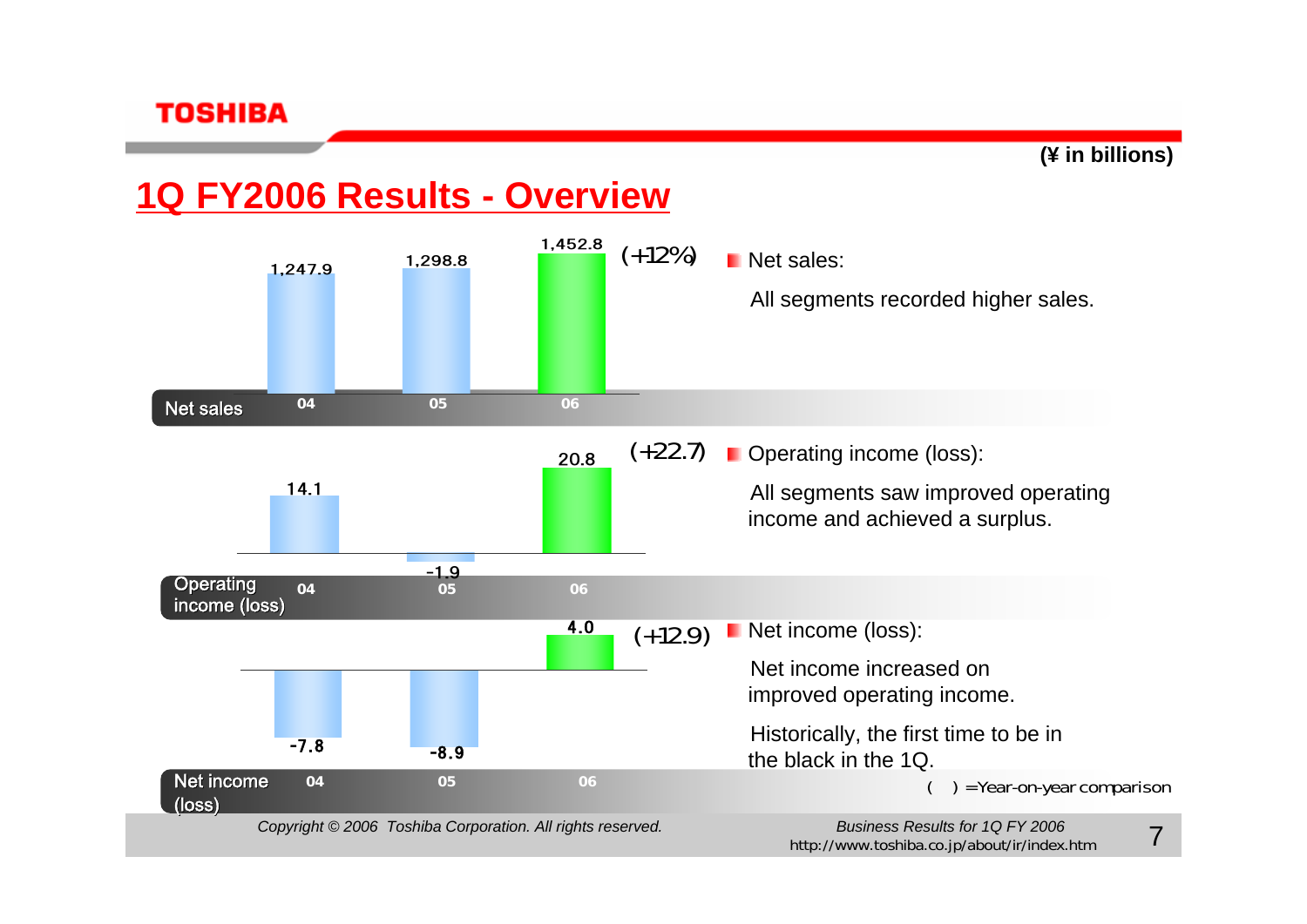

### **1Q FY2006 Results - Overview**



http://www.toshiba.co.jp/about/ir/index.htm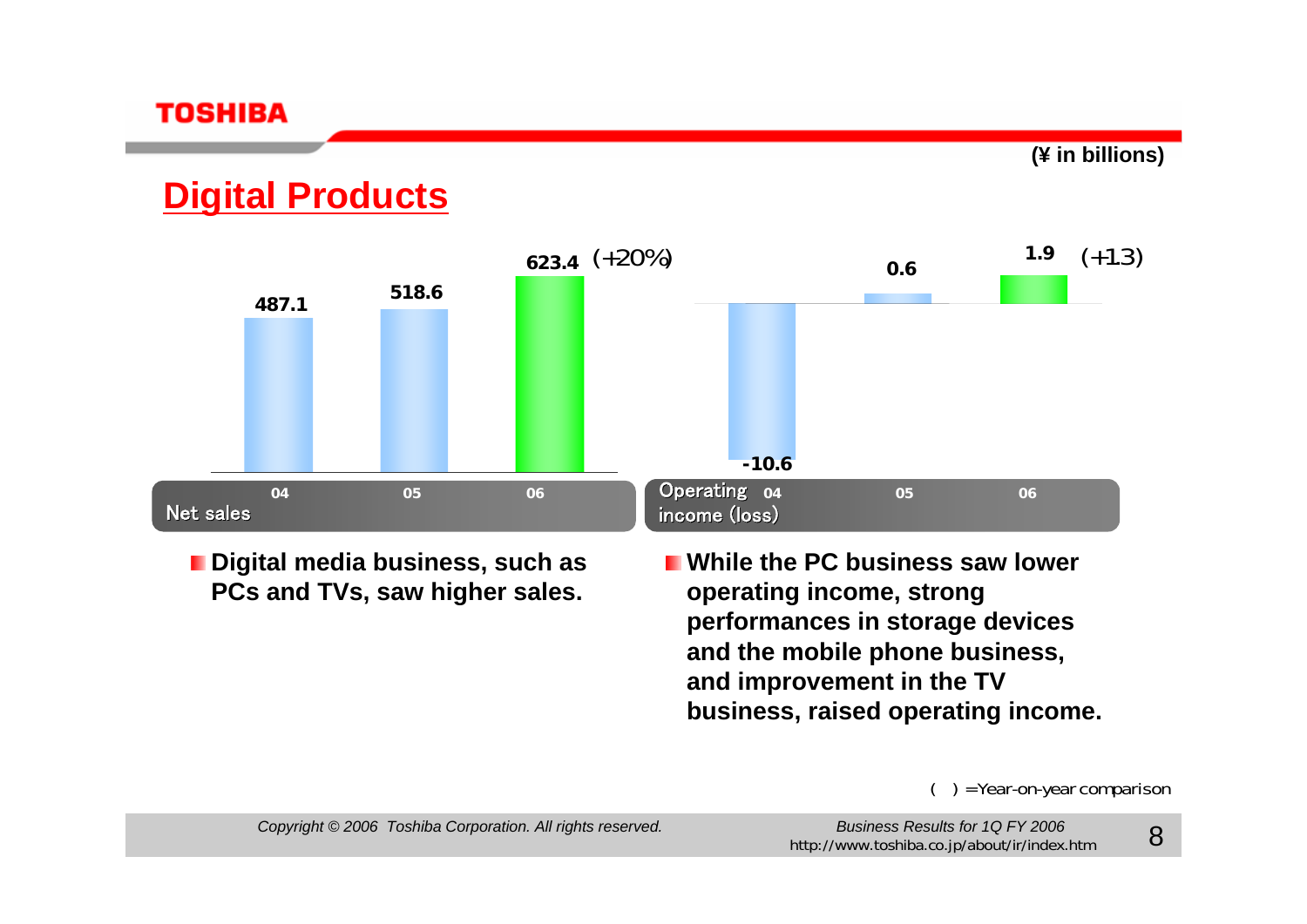

### **Digital Products**



**Digital media business, such as PCs and TVs, saw higher sales.**

**While the PC business saw lower operating income, strong performances in storage devices and the mobile phone business, and improvement in the TV business, raised operating income.**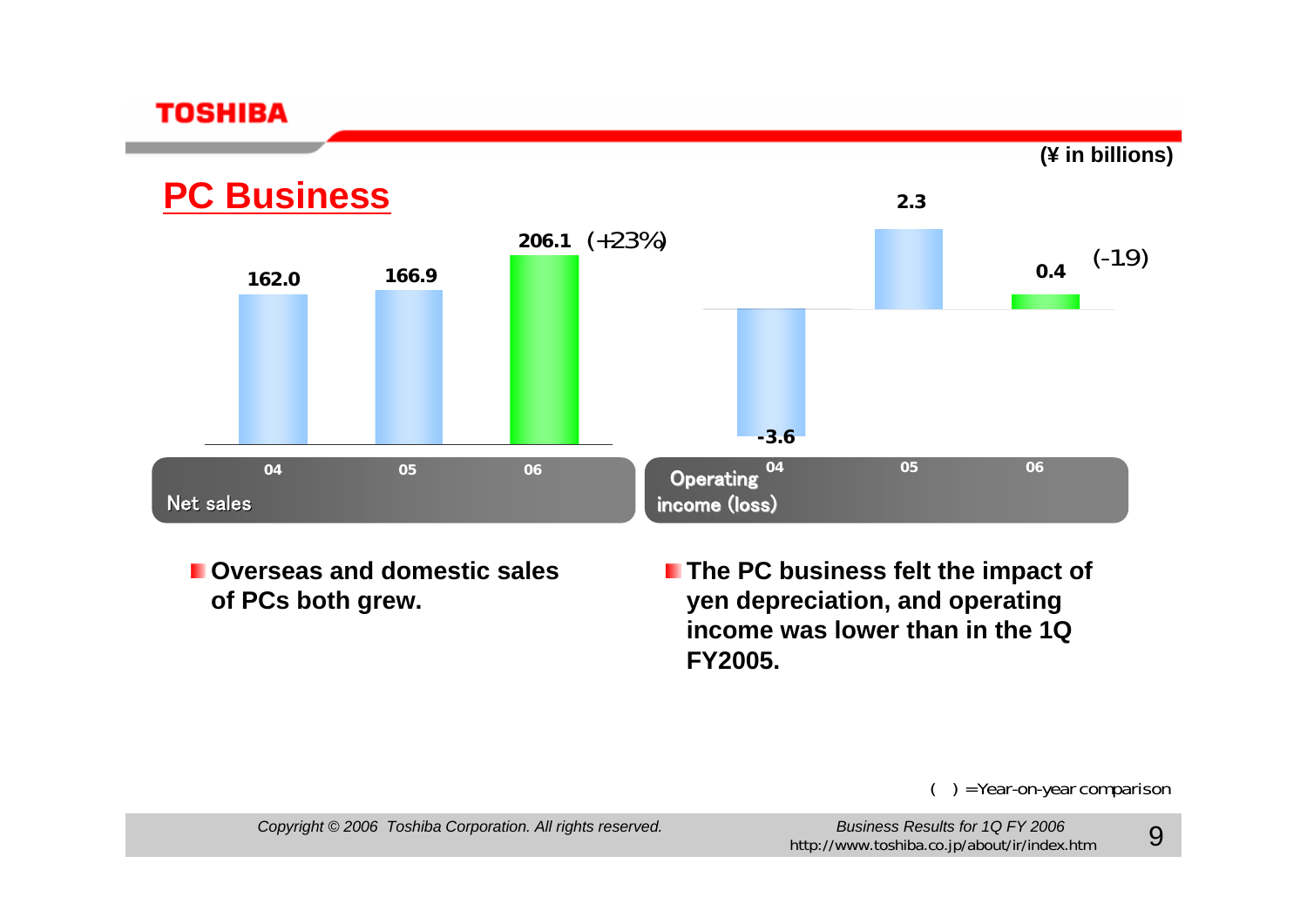**(¥ in billions)**



**Overseas and domestic sales of PCs both grew.**

**The PC business felt the impact of yen depreciation, and operating income was lower than in the 1Q FY2005.**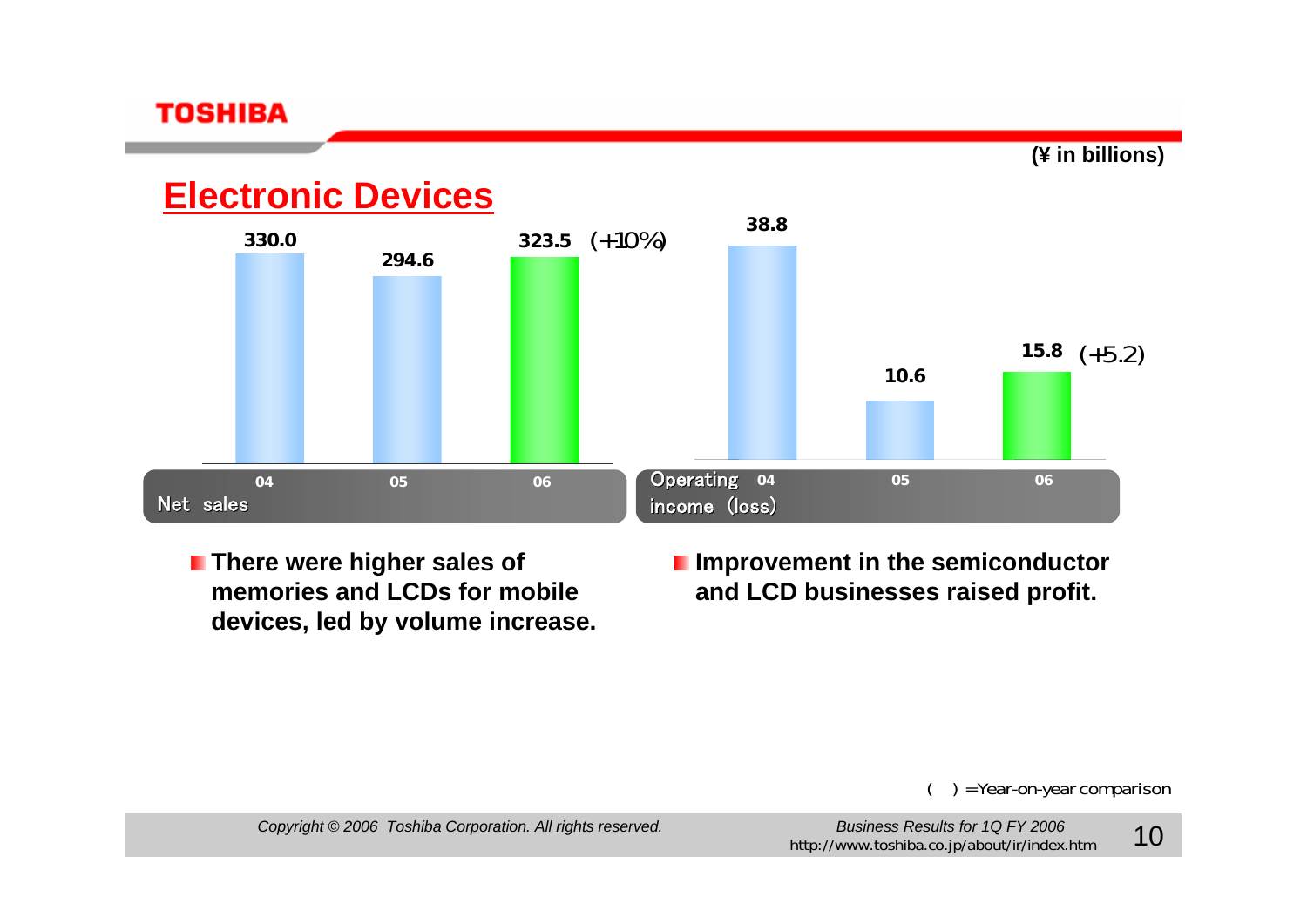

### **Electronic Devices**



- **F** There were higher sales of **memories and LCDs for mobile devices, led by volume increase.**
- **I** Improvement in the semiconductor **and LCD businesses raised profit.**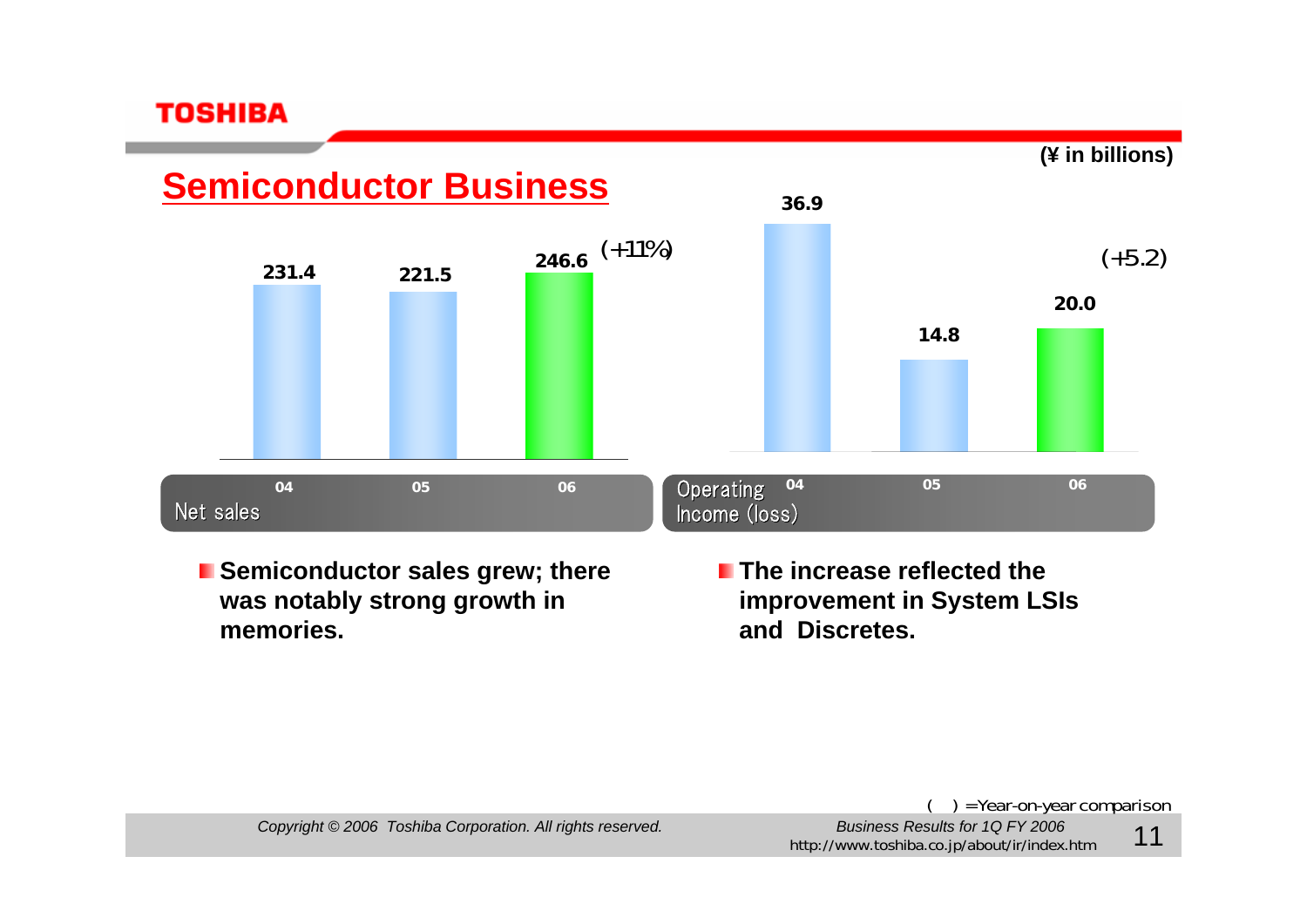

**Semiconductor sales grew; there was notably strong growth in memories.**

**The increase reflected the improvement in System LSIs and Discretes.**

= Year-on-year comparison

*Copyright © 2006 Toshiba Corporation. All rights reserved. Business Results for 1Q FY 2006*

Business Results for 1Q FY 2006<br>http://www.toshiba.co.jp/about/ir/index.htm 11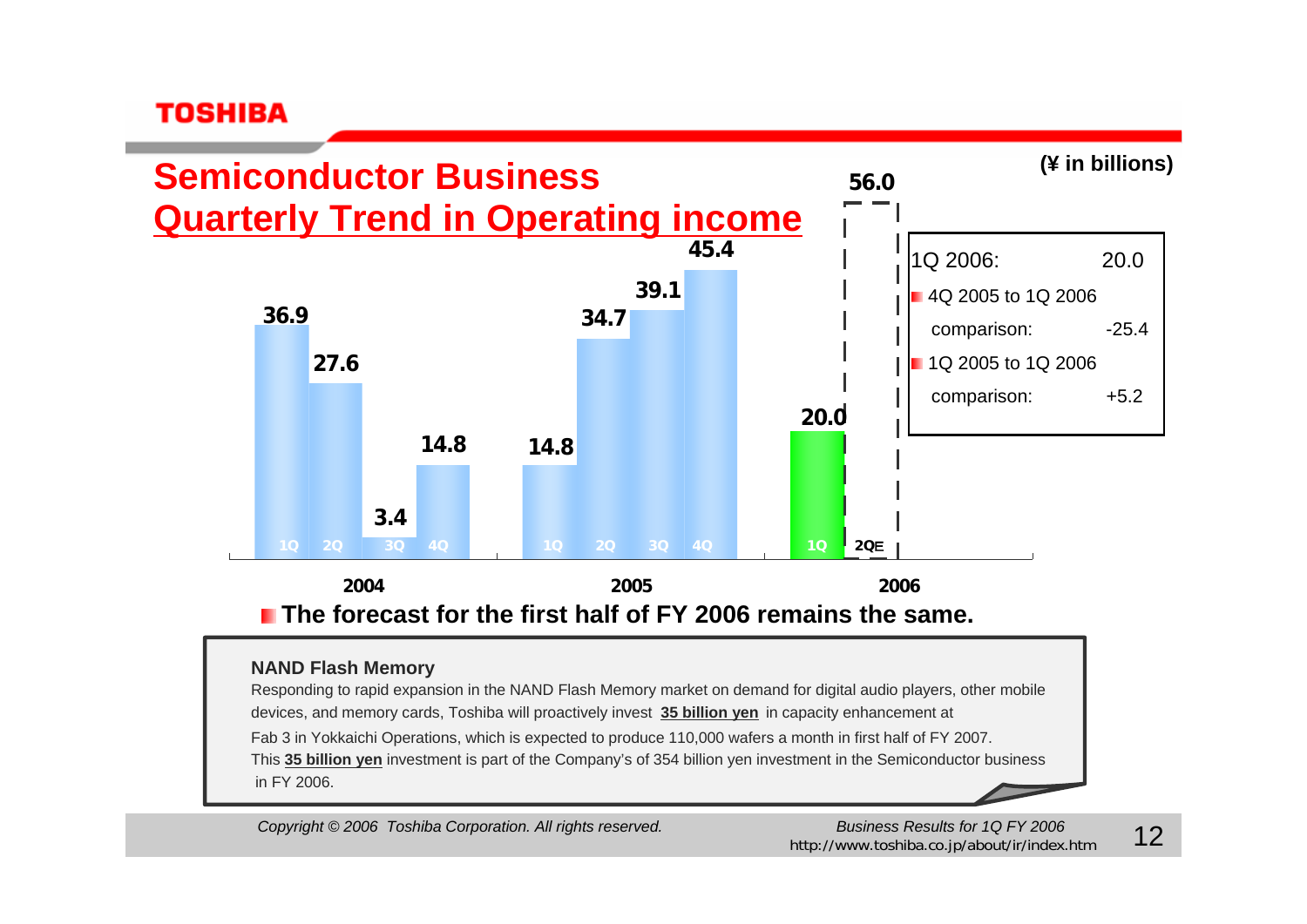

#### **NAND Flash Memory**

Responding to rapid expansion in the NAND Flash Memory market on demand for digital audio players, other mobile devices, and memory cards, Toshiba will proactively invest **35 billion yen** in capacity enhancement at Fab 3 in Yokkaichi Operations, which is expected to produce 110,000 wafers a month in first half of FY 2007. This **35 billion yen** investment is part of the Company's of 354 billion yen investment in the Semiconductor business in FY 2006.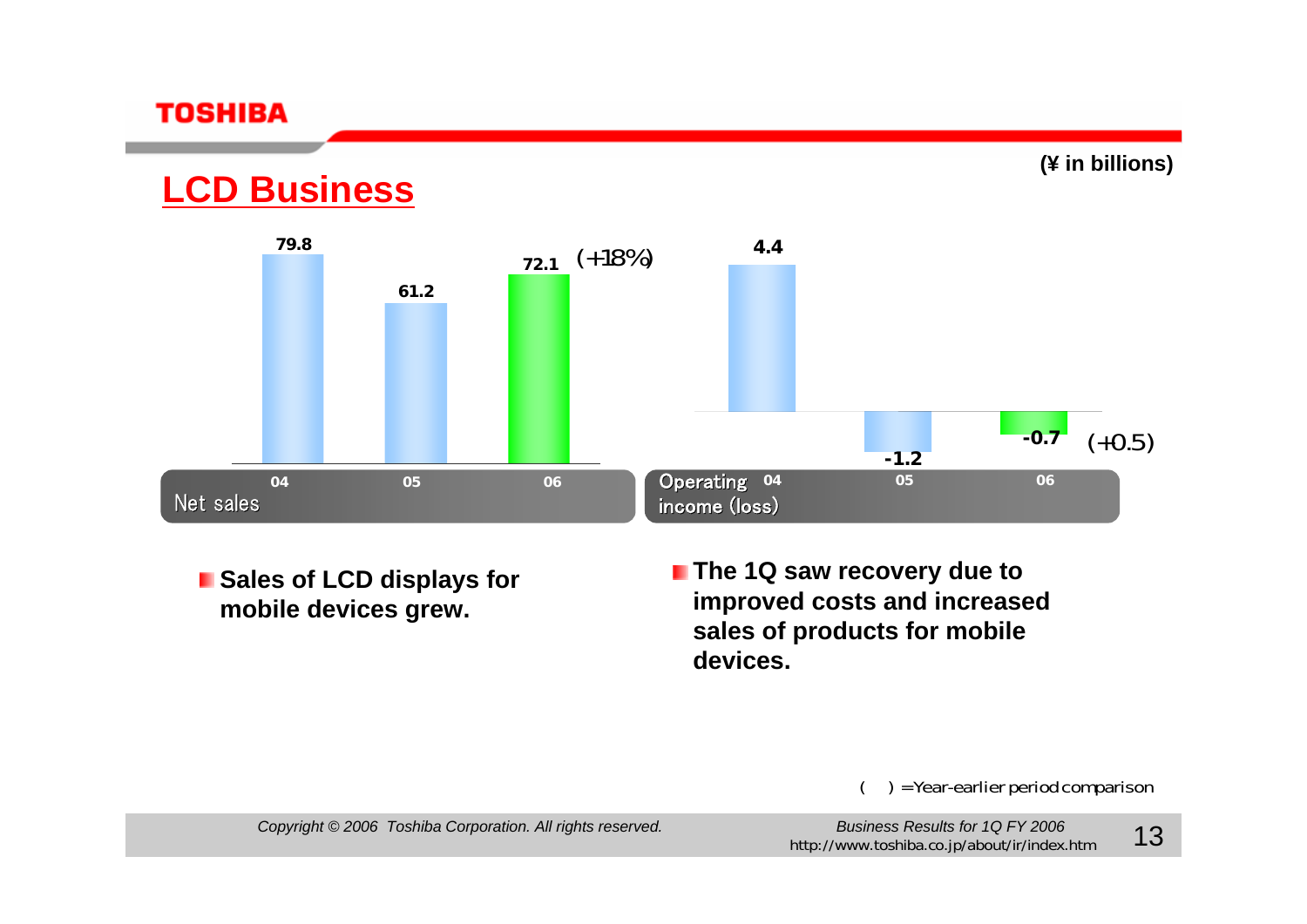

### **LCD Business**



**E** Sales of LCD displays for **mobile devices grew.**

**The 1Q saw recovery due to improved costs and increased sales of products for mobile devices.**

( ) = Year-earlier period comparison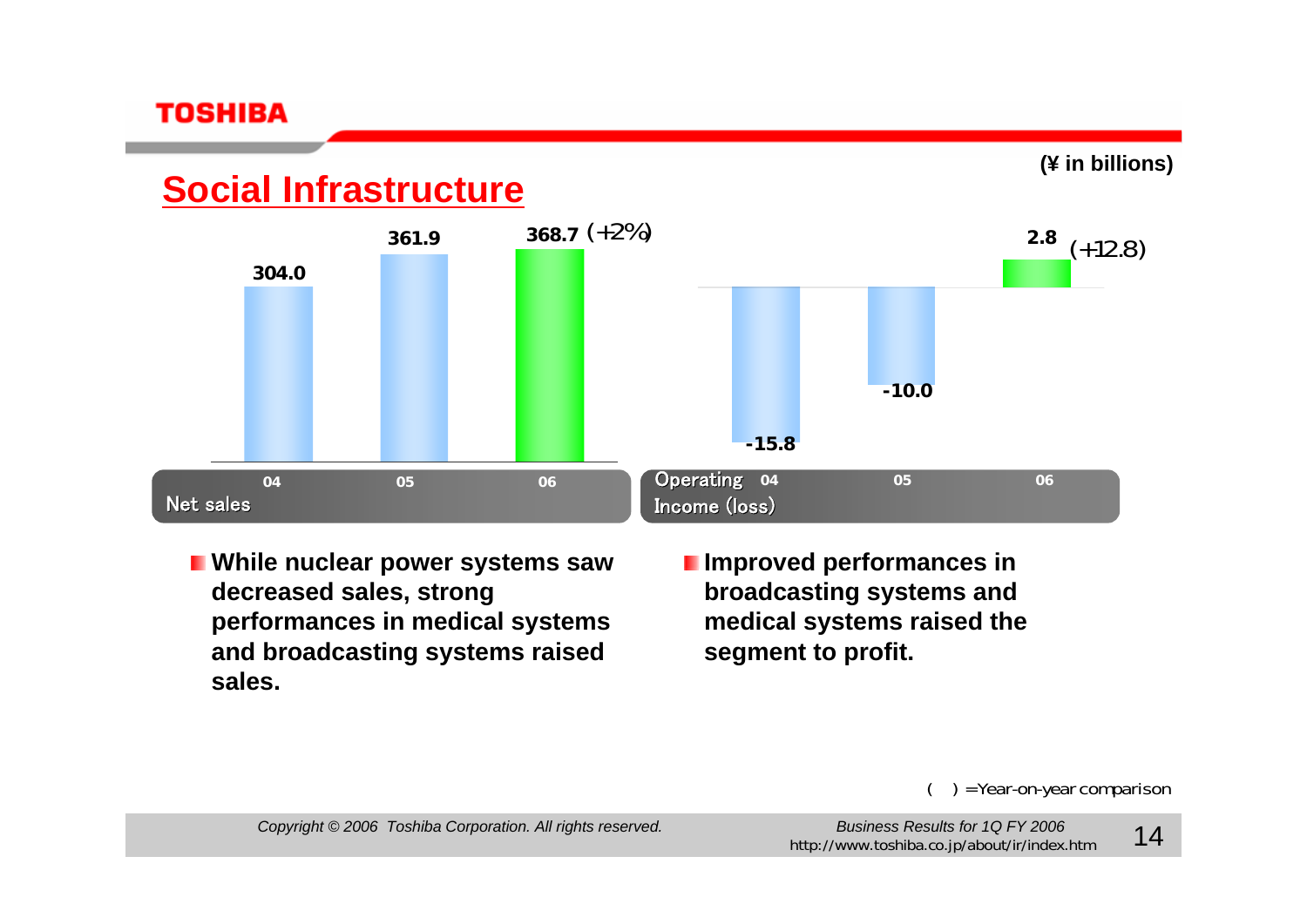

### **Social Infrastructure**



- **While nuclear power systems saw decreased sales, strong performances in medical systems and broadcasting systems raised sales.**
- **I** Improved performances in **broadcasting systems and medical systems raised the segment to profit.**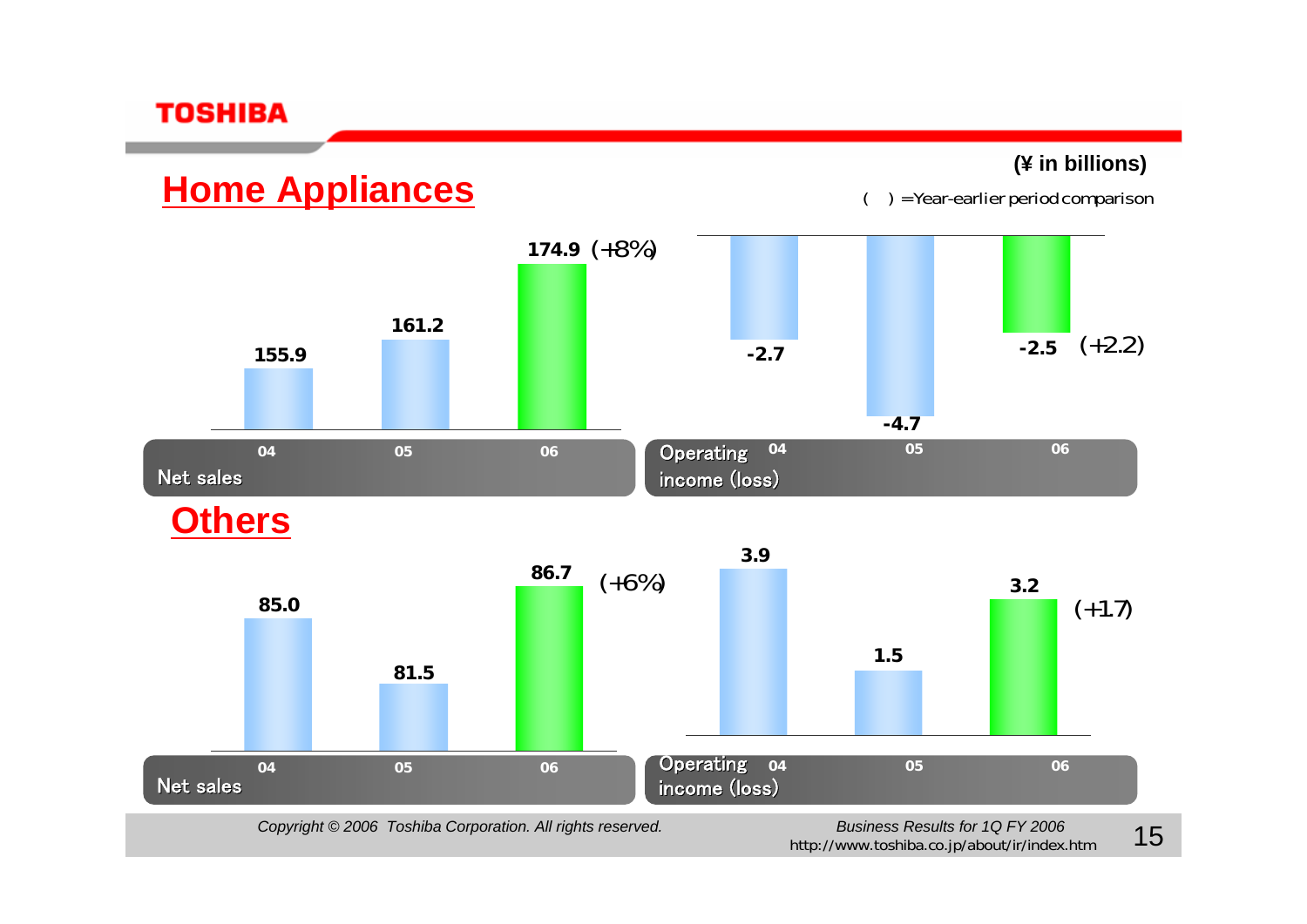**(¥ in billions)**

( ) = Year-earlier period comparison

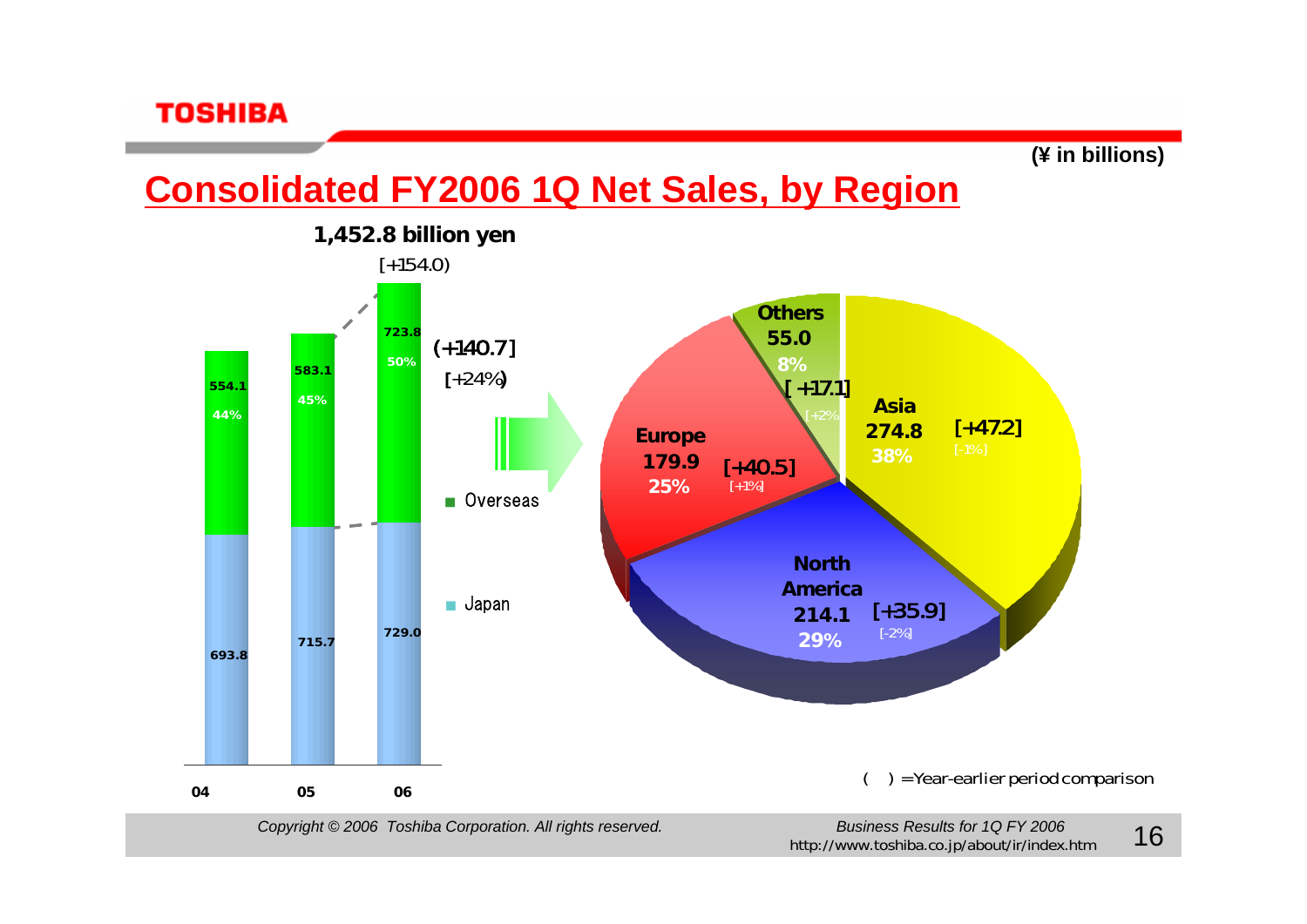

### **Consolidated FY2006 1Q Net Sales, by Region**

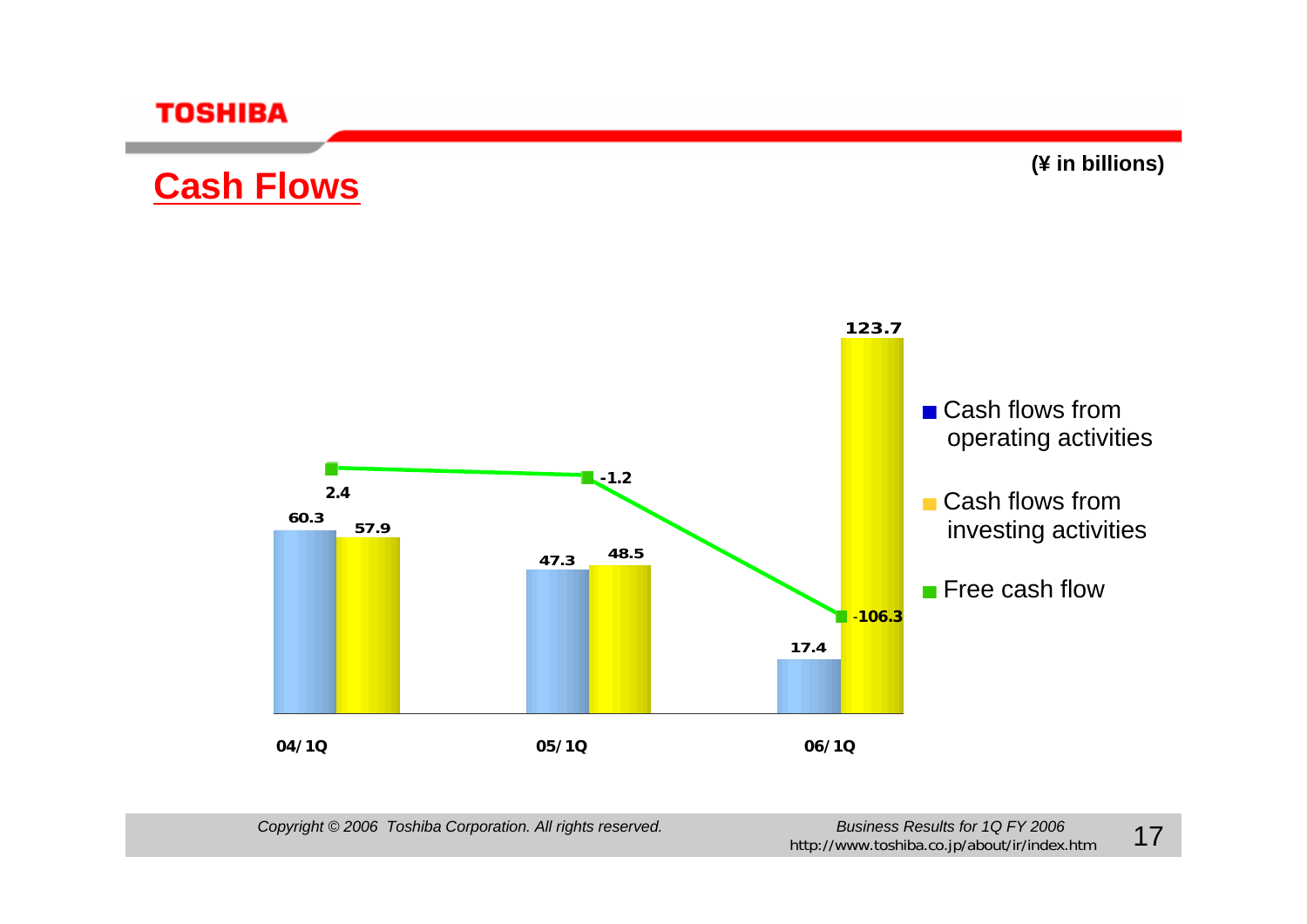

## **Cash Flows**

**(¥ in billions)**

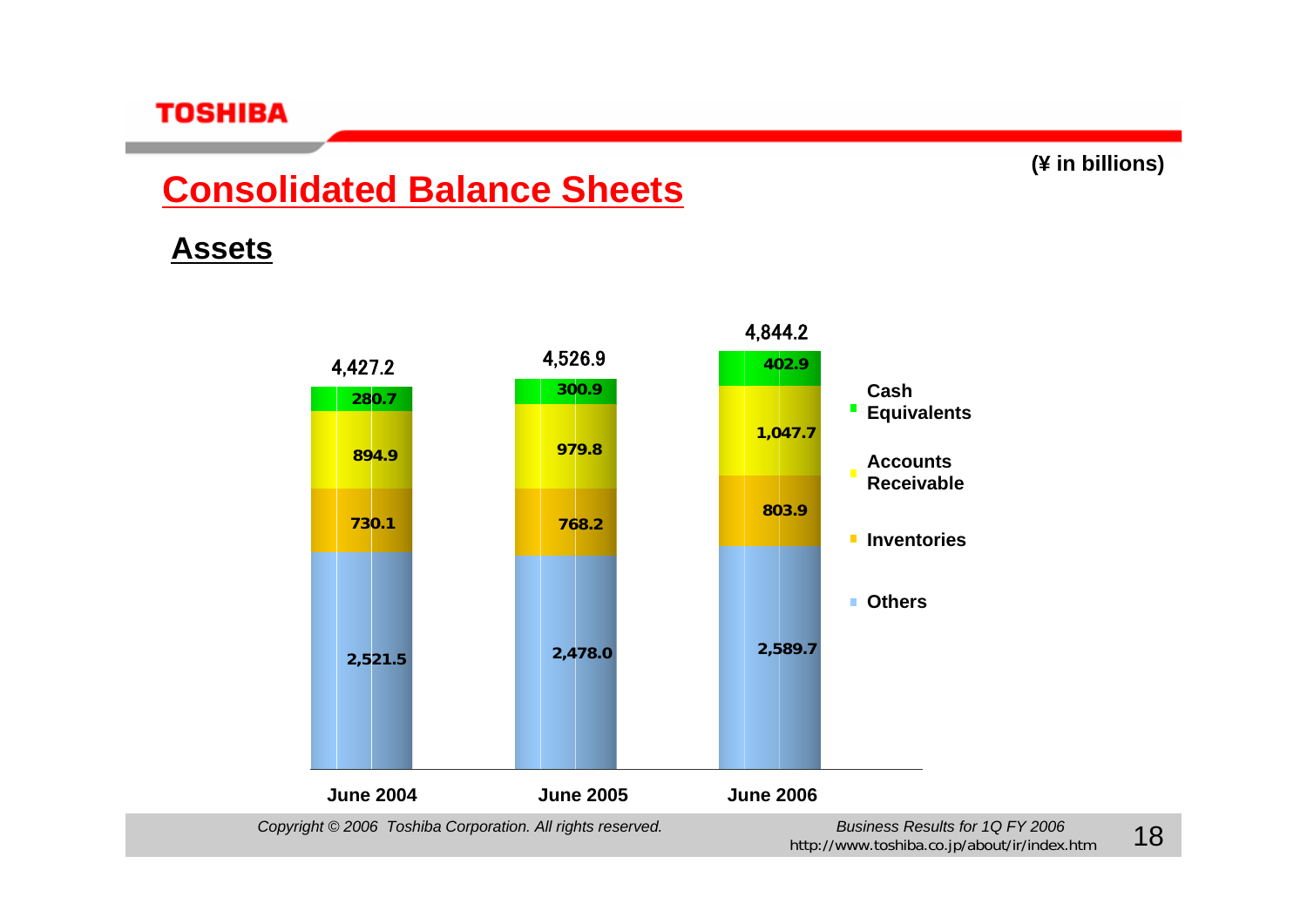## **Consolidated Balance Sheets**

### **Assets**

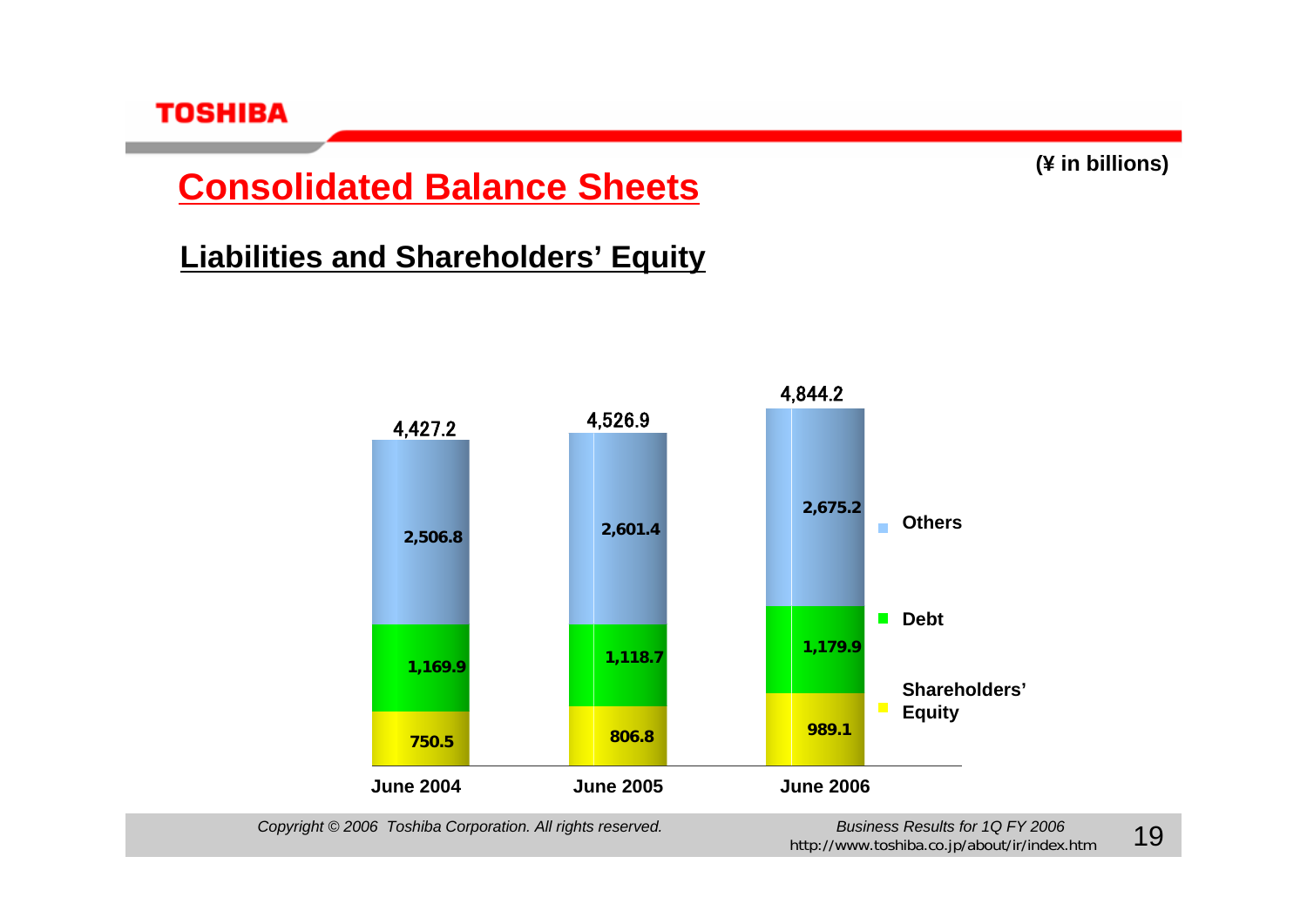

### **Consolidated Balance Sheets**

### **Liabilities and Shareholders' Equity**

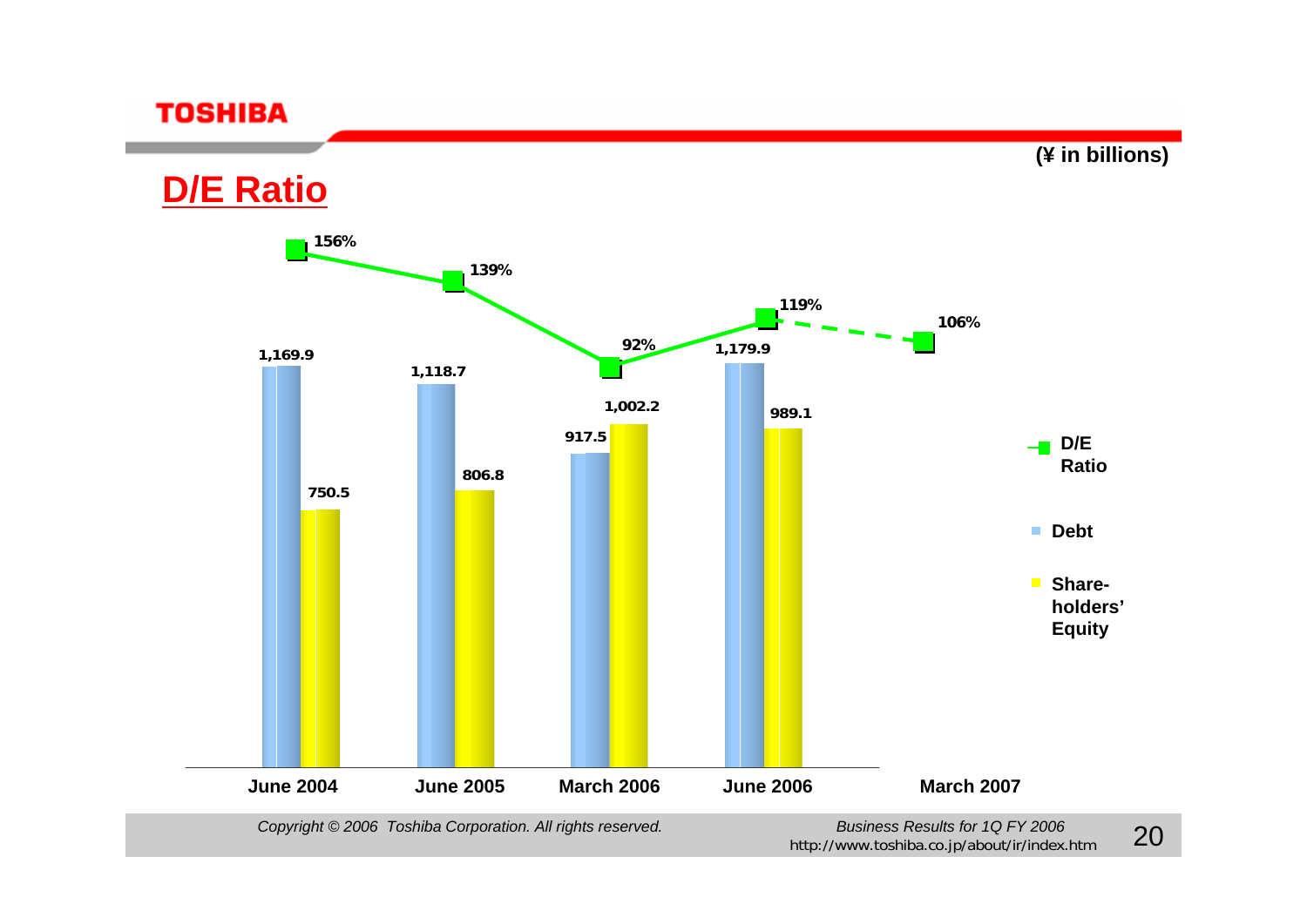**(¥ in billions)**

### **D/E Ratio**



*Copyright © 2006* Toshiba Corporation. All rights reserved. *Business Results for 1Q FY 2006* 

Business Results for  $1Q$  PY 2006<br>http://www.toshiba.co.jp/about/ir/index.htm 20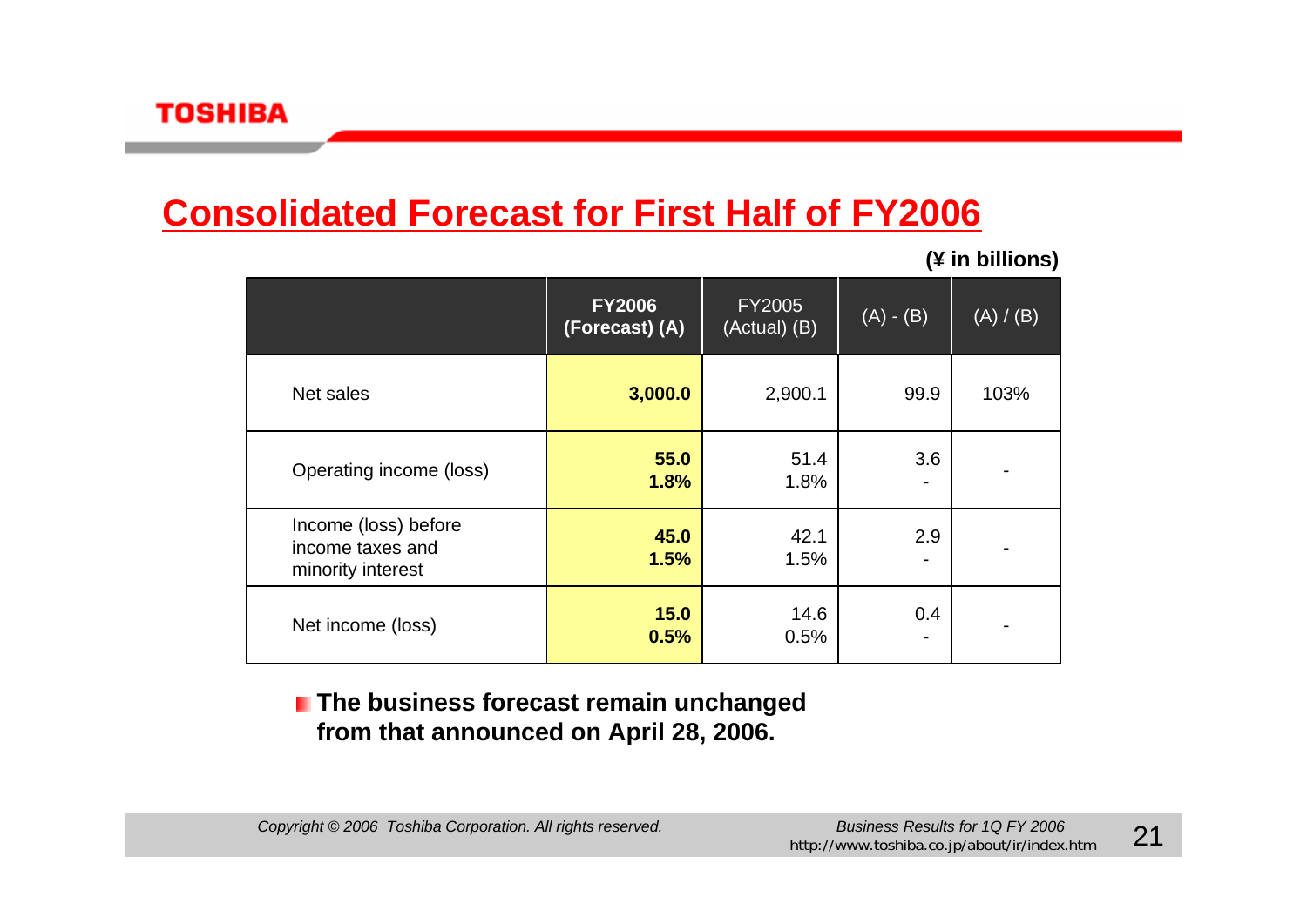# **Consolidated Forecast for First Half of FY2006**

**(¥ in billions)**

|                                                               | <b>FY2006</b><br>(Forecast) (A) | <b>FY2005</b><br>(Actual) (B) | $(A) - (B)$ | (A) / (B) |
|---------------------------------------------------------------|---------------------------------|-------------------------------|-------------|-----------|
| Net sales                                                     | 3,000.0                         | 2,900.1                       | 99.9        | 103%      |
| Operating income (loss)                                       | 55.0<br>1.8%                    | 51.4<br>1.8%                  | 3.6         |           |
| Income (loss) before<br>income taxes and<br>minority interest | 45.0<br>1.5%                    | 42.1<br>1.5%                  | 2.9         |           |
| Net income (loss)                                             | 15.0<br>0.5%                    | 14.6<br>0.5%                  | 0.4         |           |

#### **The business forecast remain unchanged from that announced on April 28, 2006.**